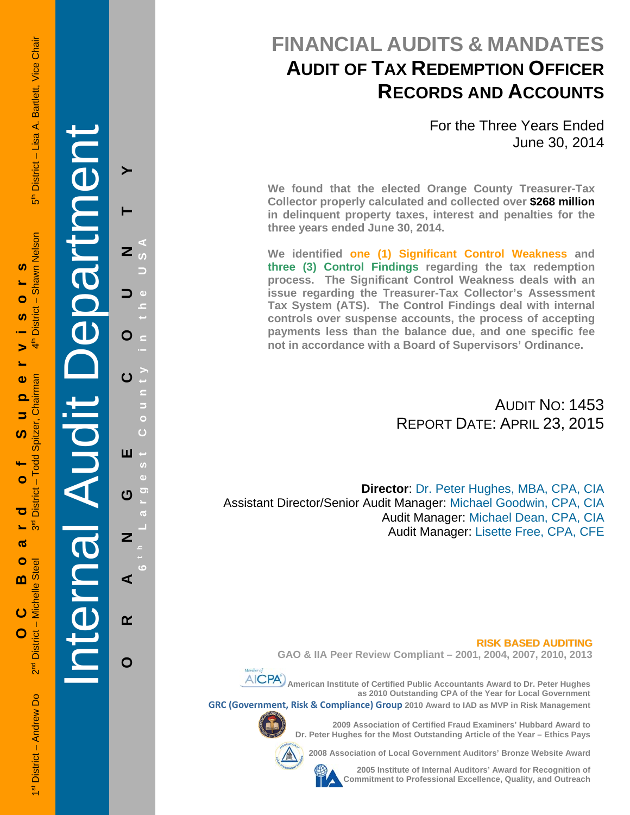**FINANCIAL AUDITS & MANDATES AUDIT OF TAX REDEMPTION OFFICER RECORDS AND ACCOUNTS**

> For the Three Years Ended June 30, 2014

**We found that the elected Orange County Treasurer-Tax Collector properly calculated and collected over \$268 million in delinquent property taxes, interest and penalties for the three years ended June 30, 2014.** 

**We identified one (1) Significant Control Weakness and three (3) Control Findings regarding the tax redemption process. The Significant Control Weakness deals with an issue regarding the Treasurer-Tax Collector's Assessment Tax System (ATS). The Control Findings deal with internal controls over suspense accounts, the process of accepting payments less than the balance due, and one specific fee not in accordance with a Board of Supervisors' Ordinance.** 

> AUDIT NO: 1453 REPORT DATE: APRIL 23, 2015

**Director**: Dr. Peter Hughes, MBA, CPA, CIA Assistant Director/Senior Audit Manager: Michael Goodwin, CPA, CIA Audit Manager: Michael Dean, CPA, CIA Audit Manager: Lisette Free, CPA, CFE

#### **RISK BASED AUDITING**

**GAO & IIA Peer Review Compliant – 2001, 2004, 2007, 2010, 2013** 



 **American Institute of Certified Public Accountants Award to Dr. Peter Hughes as 2010 Outstanding CPA of the Year for Local Government GRC (Government, Risk & Compliance) Group 2010 Award to IAD as MVP in Risk Management** 



**2009 Association of Certified Fraud Examiners' Hubbard Award to Dr. Peter Hughes for the Most Outstanding Article of the Year – Ethics Pays** 

**2008 Association of Local Government Auditors' Bronze Website Award** 

**2005 Institute of Internal Auditors' Award for Recognition of Commitment to Professional Excellence, Quality, and Outreach**

Internal Audit Department

**ORANGE COUNTY 6 t h Lar**

ш

 $\mathbf C$ 

 $\overline{\mathbf{z}}$ 

⋖

 $\alpha$ 

O

 $\mathbf O$ 

**g**

**est Count**

**y in the USA** 

5<sup>th</sup> District - Lisa A. Bartlett, Vice Chair

 $4^{\text{th}}$ Chairman Todd Spitzer, **District**  $\frac{a}{3}$ District - Michelle Steel  $2<sup>nd</sup>$ 1st District - Andrew Do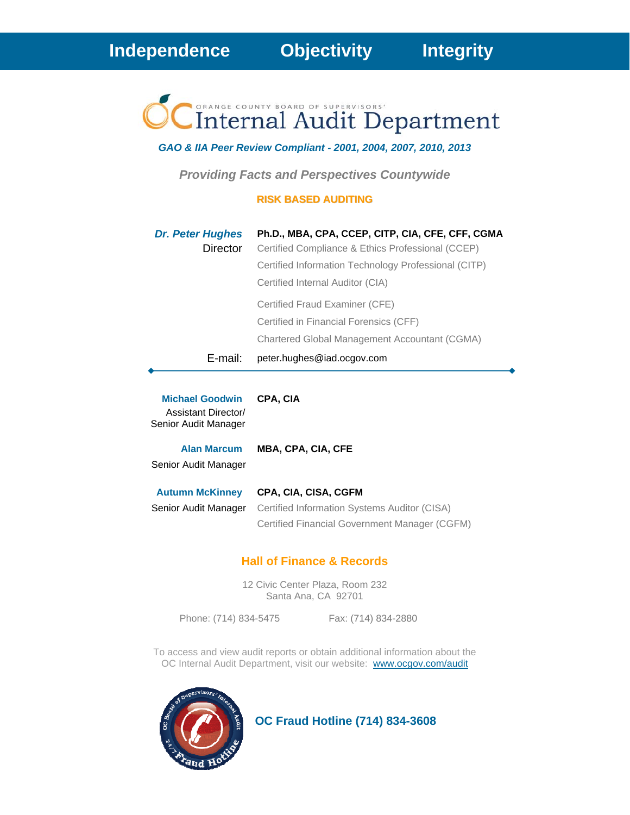**Independence****Objectivity****Integrity**

**Internal Audit Department** 

*GAO & IIA Peer Review Compliant - 2001, 2004, 2007, 2010, 2013* 

*Providing Facts and Perspectives Countywide* 

# **RISK BASED AUDITING**

| <b>Dr. Peter Hughes</b> | Ph.D., MBA, CPA, CCEP, CITP, CIA, CFE, CFF, CGMA     |
|-------------------------|------------------------------------------------------|
| Director                | Certified Compliance & Ethics Professional (CCEP)    |
|                         | Certified Information Technology Professional (CITP) |
|                         | Certified Internal Auditor (CIA)                     |
|                         | Certified Fraud Examiner (CFE)                       |
|                         | Certified in Financial Forensics (CFF)               |
|                         | Chartered Global Management Accountant (CGMA)        |
| E-mail:                 | peter.hughes@iad.ocgov.com                           |

**Michael Goodwin CPA, CIA** Assistant Director/ Senior Audit Manager

**Alan Marcum MBA, CPA, CIA, CFE**

Senior Audit Manager

**Autumn McKinney CPA, CIA, CISA, CGFM** Senior Audit Manager Certified Information Systems Auditor (CISA) Certified Financial Government Manager (CGFM)

# **Hall of Finance & Records**

12 Civic Center Plaza, Room 232 Santa Ana, CA 92701

Phone: (714) 834-5475 Fax: (714) 834-2880

To access and view audit reports or obtain additional information about the OC Internal Audit Department, visit our website: www.ocgov.com/audit



 **OC Fraud Hotline (714) 834-3608**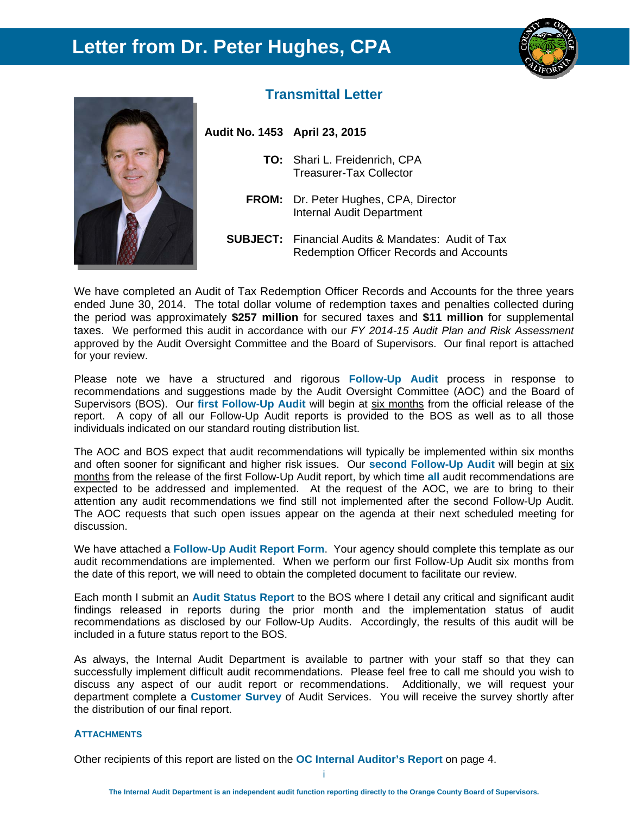# **Letter from Dr. Peter Hughes, CPA**





# **Transmittal Letter**

**Audit No. 1453 April 23, 2015** 

- **TO:** Shari L. Freidenrich, CPA Treasurer-Tax Collector
- **FROM:** Dr. Peter Hughes, CPA, Director Internal Audit Department
- **SUBJECT:** Financial Audits & Mandates: Audit of Tax Redemption Officer Records and Accounts

We have completed an Audit of Tax Redemption Officer Records and Accounts for the three years ended June 30, 2014. The total dollar volume of redemption taxes and penalties collected during the period was approximately **\$257 million** for secured taxes and **\$11 million** for supplemental taxes. We performed this audit in accordance with our *FY 2014-15 Audit Plan and Risk Assessment* approved by the Audit Oversight Committee and the Board of Supervisors. Our final report is attached for your review.

Please note we have a structured and rigorous **Follow-Up Audit** process in response to recommendations and suggestions made by the Audit Oversight Committee (AOC) and the Board of Supervisors (BOS). Our **first Follow-Up Audit** will begin at six months from the official release of the report. A copy of all our Follow-Up Audit reports is provided to the BOS as well as to all those individuals indicated on our standard routing distribution list.

The AOC and BOS expect that audit recommendations will typically be implemented within six months and often sooner for significant and higher risk issues. Our **second Follow-Up Audit** will begin at six months from the release of the first Follow-Up Audit report, by which time **all** audit recommendations are expected to be addressed and implemented. At the request of the AOC, we are to bring to their attention any audit recommendations we find still not implemented after the second Follow-Up Audit. The AOC requests that such open issues appear on the agenda at their next scheduled meeting for discussion.

We have attached a **Follow-Up Audit Report Form**. Your agency should complete this template as our audit recommendations are implemented. When we perform our first Follow-Up Audit six months from the date of this report, we will need to obtain the completed document to facilitate our review.

Each month I submit an **Audit Status Report** to the BOS where I detail any critical and significant audit findings released in reports during the prior month and the implementation status of audit recommendations as disclosed by our Follow-Up Audits. Accordingly, the results of this audit will be included in a future status report to the BOS.

As always, the Internal Audit Department is available to partner with your staff so that they can successfully implement difficult audit recommendations. Please feel free to call me should you wish to discuss any aspect of our audit report or recommendations. Additionally, we will request your department complete a **Customer Survey** of Audit Services. You will receive the survey shortly after the distribution of our final report.

#### **ATTACHMENTS**

Other recipients of this report are listed on the **OC Internal Auditor's Report** on page 4.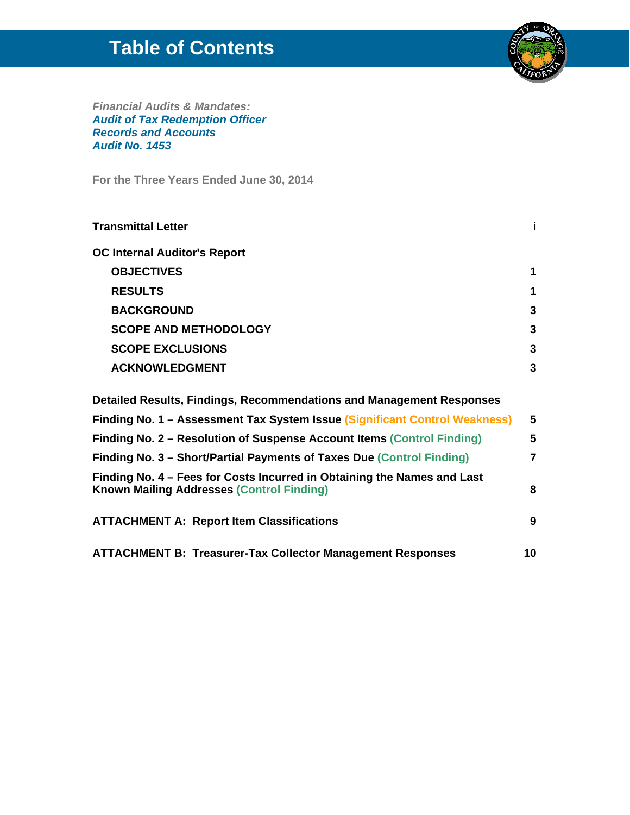# **Table of Contents**



*Financial Audits & Mandates: Audit of Tax Redemption Officer Records and Accounts Audit No. 1453* 

**For the Three Years Ended June 30, 2014**

| <b>Transmittal Letter</b>                                                                                                   | j.             |
|-----------------------------------------------------------------------------------------------------------------------------|----------------|
| <b>OC Internal Auditor's Report</b>                                                                                         |                |
| <b>OBJECTIVES</b>                                                                                                           | 1              |
| <b>RESULTS</b>                                                                                                              | 1              |
| <b>BACKGROUND</b>                                                                                                           | 3              |
| <b>SCOPE AND METHODOLOGY</b>                                                                                                | 3              |
| <b>SCOPE EXCLUSIONS</b>                                                                                                     | 3              |
| <b>ACKNOWLEDGMENT</b>                                                                                                       | 3              |
| Detailed Results, Findings, Recommendations and Management Responses                                                        |                |
| Finding No. 1 - Assessment Tax System Issue (Significant Control Weakness)                                                  | 5              |
| Finding No. 2 – Resolution of Suspense Account Items (Control Finding)                                                      | 5              |
| Finding No. 3 - Short/Partial Payments of Taxes Due (Control Finding)                                                       | $\overline{7}$ |
| Finding No. 4 – Fees for Costs Incurred in Obtaining the Names and Last<br><b>Known Mailing Addresses (Control Finding)</b> | 8              |
| <b>ATTACHMENT A: Report Item Classifications</b>                                                                            | 9              |

**ATTACHMENT B: Treasurer-Tax Collector Management Responses 10**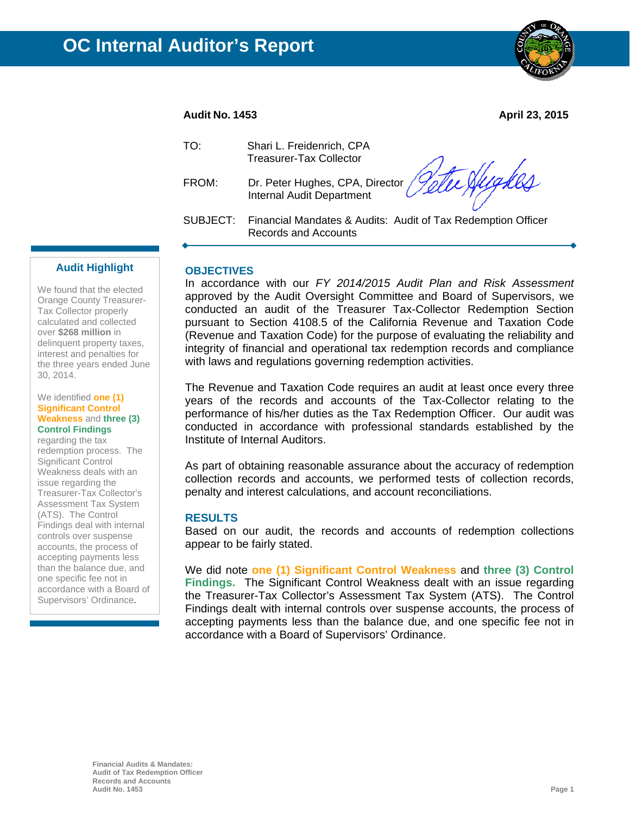

### **Audit No. 1453 April 23, 2015**

| TO:      | Shari L. Freidenrich, CPA<br><b>Treasurer-Tax Collector</b>                            |
|----------|----------------------------------------------------------------------------------------|
| FROM:    | Dr. Peter Hughes, CPA, Director <i>(Intellet Aughban)</i><br>Internal Audit Department |
| SUBJECT: | Financial Mandates & Audits: Audit of Tax Redemption Officer<br>Records and Accounts   |

#### **Audit Highlight**

We found that the elected Orange County Treasurer-Tax Collector properly calculated and collected over **\$268 million** in delinquent property taxes, interest and penalties for the three years ended June 30, 2014.

#### We identified **one (1) Significant Control Weakness** and **three (3) Control Findings**

regarding the tax redemption process. The Significant Control Weakness deals with an issue regarding the Treasurer-Tax Collector's Assessment Tax System (ATS). The Control Findings deal with internal controls over suspense accounts, the process of accepting payments less than the balance due, and one specific fee not in accordance with a Board of Supervisors' Ordinance.

# **OBJECTIVES**

In accordance with our *FY 2014/2015 Audit Plan and Risk Assessment* approved by the Audit Oversight Committee and Board of Supervisors, we conducted an audit of the Treasurer Tax-Collector Redemption Section pursuant to Section 4108.5 of the California Revenue and Taxation Code (Revenue and Taxation Code) for the purpose of evaluating the reliability and integrity of financial and operational tax redemption records and compliance with laws and regulations governing redemption activities.

The Revenue and Taxation Code requires an audit at least once every three years of the records and accounts of the Tax-Collector relating to the performance of his/her duties as the Tax Redemption Officer. Our audit was conducted in accordance with professional standards established by the Institute of Internal Auditors.

As part of obtaining reasonable assurance about the accuracy of redemption collection records and accounts, we performed tests of collection records, penalty and interest calculations, and account reconciliations.

#### **RESULTS**

Based on our audit, the records and accounts of redemption collections appear to be fairly stated.

We did note **one (1) Significant Control Weakness** and **three (3) Control Findings.** The Significant Control Weakness dealt with an issue regarding the Treasurer-Tax Collector's Assessment Tax System (ATS). The Control Findings dealt with internal controls over suspense accounts, the process of accepting payments less than the balance due, and one specific fee not in accordance with a Board of Supervisors' Ordinance.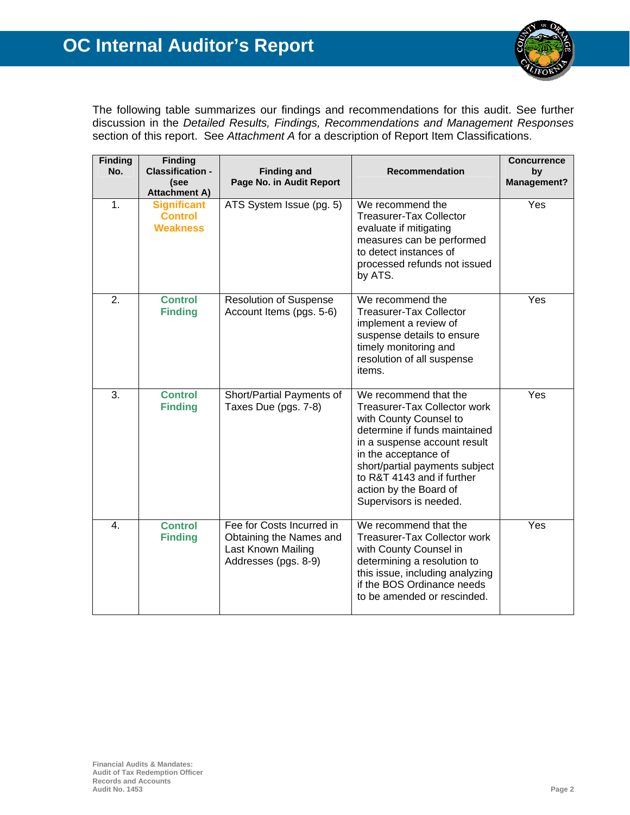

The following table summarizes our findings and recommendations for this audit. See further discussion in the *Detailed Results, Findings, Recommendations and Management Responses* section of this report. See *Attachment A* for a description of Report Item Classifications.

| <b>Finding</b><br>No. | <b>Finding</b><br><b>Classification -</b><br>(see<br><b>Attachment A)</b> | <b>Finding and</b><br>Page No. in Audit Report                                                     | <b>Recommendation</b>                                                                                                                                                                                                                                                                        | <b>Concurrence</b><br>by<br><b>Management?</b> |
|-----------------------|---------------------------------------------------------------------------|----------------------------------------------------------------------------------------------------|----------------------------------------------------------------------------------------------------------------------------------------------------------------------------------------------------------------------------------------------------------------------------------------------|------------------------------------------------|
| $\mathbf 1$ .         | <b>Significant</b><br><b>Control</b><br><b>Weakness</b>                   | ATS System Issue (pg. 5)                                                                           | We recommend the<br><b>Treasurer-Tax Collector</b><br>evaluate if mitigating<br>measures can be performed<br>to detect instances of<br>processed refunds not issued<br>by ATS.                                                                                                               | Yes                                            |
| 2.                    | <b>Control</b><br><b>Finding</b>                                          | <b>Resolution of Suspense</b><br>Account Items (pgs. 5-6)                                          | We recommend the<br><b>Treasurer-Tax Collector</b><br>implement a review of<br>suspense details to ensure<br>timely monitoring and<br>resolution of all suspense<br>items.                                                                                                                   | Yes                                            |
| 3.                    | <b>Control</b><br><b>Finding</b>                                          | Short/Partial Payments of<br>Taxes Due (pgs. 7-8)                                                  | We recommend that the<br>Treasurer-Tax Collector work<br>with County Counsel to<br>determine if funds maintained<br>in a suspense account result<br>in the acceptance of<br>short/partial payments subject<br>to R&T 4143 and if further<br>action by the Board of<br>Supervisors is needed. | Yes                                            |
| 4.                    | <b>Control</b><br><b>Finding</b>                                          | Fee for Costs Incurred in<br>Obtaining the Names and<br>Last Known Mailing<br>Addresses (pgs. 8-9) | We recommend that the<br><b>Treasurer-Tax Collector work</b><br>with County Counsel in<br>determining a resolution to<br>this issue, including analyzing<br>if the BOS Ordinance needs<br>to be amended or rescinded.                                                                        | Yes                                            |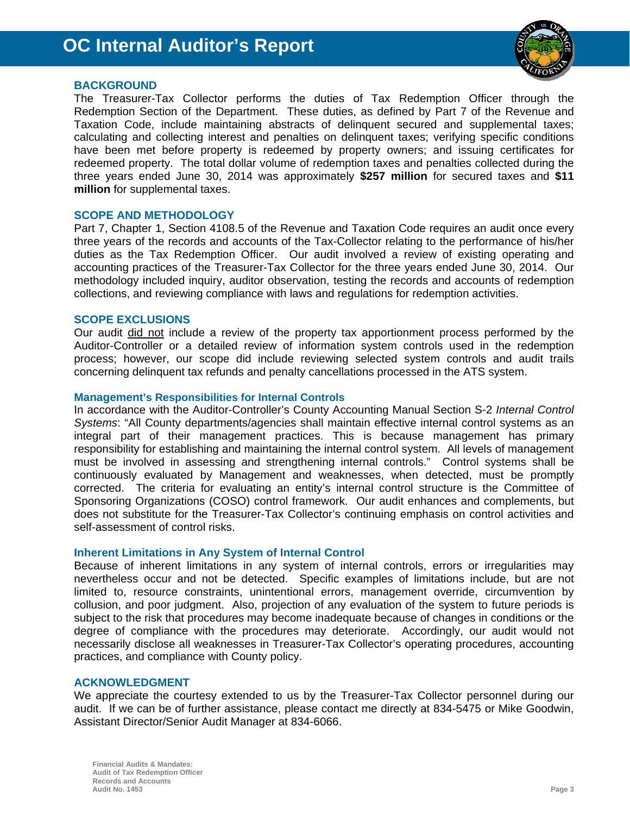

# **BACKGROUND**

The Treasurer-Tax Collector performs the duties of Tax Redemption Officer through the Redemption Section of the Department. These duties, as defined by Part 7 of the Revenue and Taxation Code, include maintaining abstracts of delinquent secured and supplemental taxes; calculating and collecting interest and penalties on delinquent taxes; verifying specific conditions have been met before property is redeemed by property owners; and issuing certificates for redeemed property. The total dollar volume of redemption taxes and penalties collected during the three years ended June 30, 2014 was approximately **\$257 million** for secured taxes and **\$11 million** for supplemental taxes.

# **SCOPE AND METHODOLOGY**

Part 7, Chapter 1, Section 4108.5 of the Revenue and Taxation Code requires an audit once every three years of the records and accounts of the Tax-Collector relating to the performance of his/her duties as the Tax Redemption Officer. Our audit involved a review of existing operating and accounting practices of the Treasurer-Tax Collector for the three years ended June 30, 2014. Our methodology included inquiry, auditor observation, testing the records and accounts of redemption collections, and reviewing compliance with laws and regulations for redemption activities.

# **SCOPE EXCLUSIONS**

Our audit did not include a review of the property tax apportionment process performed by the Auditor-Controller or a detailed review of information system controls used in the redemption process; however, our scope did include reviewing selected system controls and audit trails concerning delinquent tax refunds and penalty cancellations processed in the ATS system.

# **Management's Responsibilities for Internal Controls**

In accordance with the Auditor-Controller's County Accounting Manual Section S-2 *Internal Control Systems*: "All County departments/agencies shall maintain effective internal control systems as an integral part of their management practices. This is because management has primary responsibility for establishing and maintaining the internal control system. All levels of management must be involved in assessing and strengthening internal controls." Control systems shall be continuously evaluated by Management and weaknesses, when detected, must be promptly corrected. The criteria for evaluating an entity's internal control structure is the Committee of Sponsoring Organizations (COSO) control framework. Our audit enhances and complements, but does not substitute for the Treasurer-Tax Collector's continuing emphasis on control activities and self-assessment of control risks.

# **Inherent Limitations in Any System of Internal Control**

Because of inherent limitations in any system of internal controls, errors or irregularities may nevertheless occur and not be detected. Specific examples of limitations include, but are not limited to, resource constraints, unintentional errors, management override, circumvention by collusion, and poor judgment. Also, projection of any evaluation of the system to future periods is subject to the risk that procedures may become inadequate because of changes in conditions or the degree of compliance with the procedures may deteriorate. Accordingly, our audit would not necessarily disclose all weaknesses in Treasurer-Tax Collector's operating procedures, accounting practices, and compliance with County policy.

# **ACKNOWLEDGMENT**

We appreciate the courtesy extended to us by the Treasurer-Tax Collector personnel during our audit. If we can be of further assistance, please contact me directly at 834-5475 or Mike Goodwin, Assistant Director/Senior Audit Manager at 834-6066.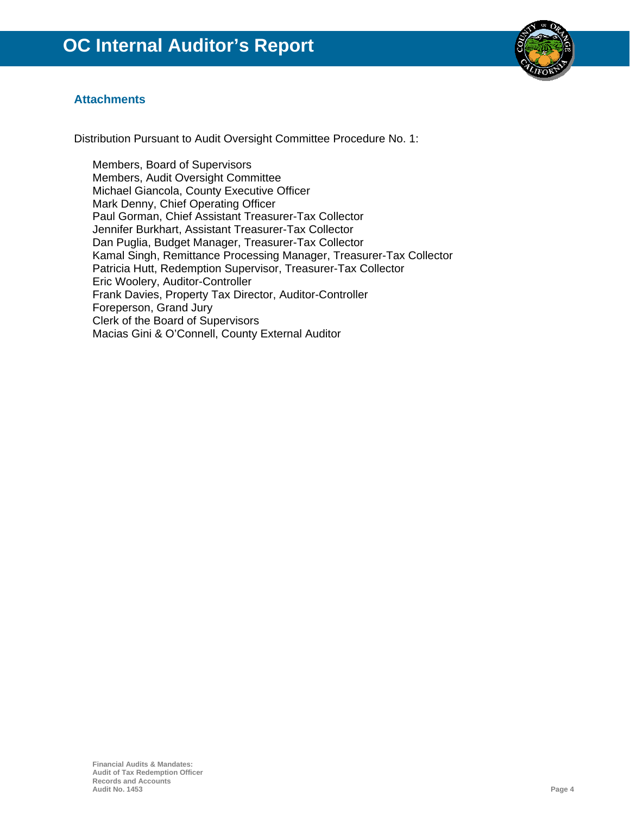

# **Attachments**

Distribution Pursuant to Audit Oversight Committee Procedure No. 1:

Members, Board of Supervisors Members, Audit Oversight Committee Michael Giancola, County Executive Officer Mark Denny, Chief Operating Officer Paul Gorman, Chief Assistant Treasurer-Tax Collector Jennifer Burkhart, Assistant Treasurer-Tax Collector Dan Puglia, Budget Manager, Treasurer-Tax Collector Kamal Singh, Remittance Processing Manager, Treasurer-Tax Collector Patricia Hutt, Redemption Supervisor, Treasurer-Tax Collector Eric Woolery, Auditor-Controller Frank Davies, Property Tax Director, Auditor-Controller Foreperson, Grand Jury Clerk of the Board of Supervisors Macias Gini & O'Connell, County External Auditor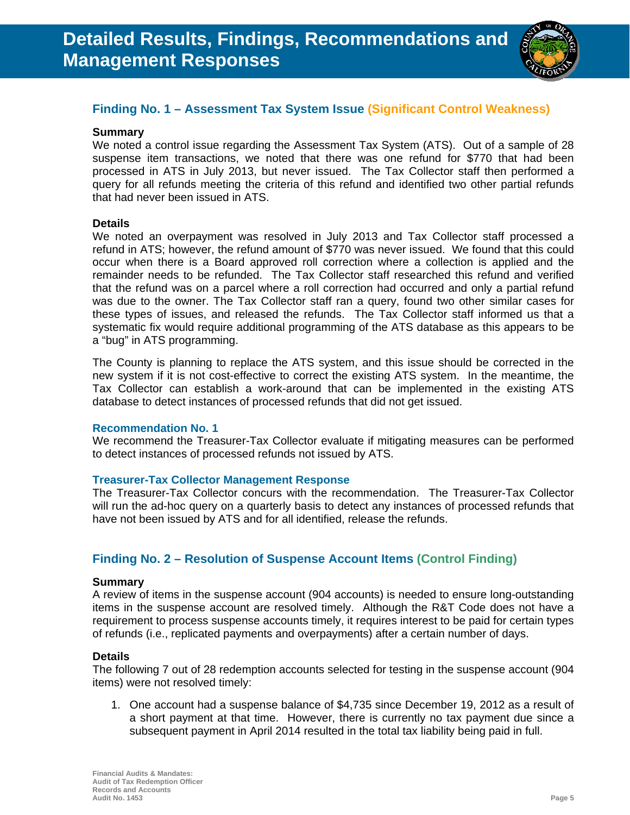

# **Finding No. 1 – Assessment Tax System Issue (Significant Control Weakness)**

# **Summary**

We noted a control issue regarding the Assessment Tax System (ATS). Out of a sample of 28 suspense item transactions, we noted that there was one refund for \$770 that had been processed in ATS in July 2013, but never issued. The Tax Collector staff then performed a query for all refunds meeting the criteria of this refund and identified two other partial refunds that had never been issued in ATS.

# **Details**

We noted an overpayment was resolved in July 2013 and Tax Collector staff processed a refund in ATS; however, the refund amount of \$770 was never issued. We found that this could occur when there is a Board approved roll correction where a collection is applied and the remainder needs to be refunded. The Tax Collector staff researched this refund and verified that the refund was on a parcel where a roll correction had occurred and only a partial refund was due to the owner. The Tax Collector staff ran a query, found two other similar cases for these types of issues, and released the refunds. The Tax Collector staff informed us that a systematic fix would require additional programming of the ATS database as this appears to be a "bug" in ATS programming.

The County is planning to replace the ATS system, and this issue should be corrected in the new system if it is not cost-effective to correct the existing ATS system. In the meantime, the Tax Collector can establish a work-around that can be implemented in the existing ATS database to detect instances of processed refunds that did not get issued.

#### **Recommendation No. 1**

We recommend the Treasurer-Tax Collector evaluate if mitigating measures can be performed to detect instances of processed refunds not issued by ATS.

# **Treasurer-Tax Collector Management Response**

The Treasurer-Tax Collector concurs with the recommendation. The Treasurer-Tax Collector will run the ad-hoc query on a quarterly basis to detect any instances of processed refunds that have not been issued by ATS and for all identified, release the refunds.

# **Finding No. 2 – Resolution of Suspense Account Items (Control Finding)**

#### **Summary**

A review of items in the suspense account (904 accounts) is needed to ensure long-outstanding items in the suspense account are resolved timely. Although the R&T Code does not have a requirement to process suspense accounts timely, it requires interest to be paid for certain types of refunds (i.e., replicated payments and overpayments) after a certain number of days.

# **Details**

The following 7 out of 28 redemption accounts selected for testing in the suspense account (904 items) were not resolved timely:

1. One account had a suspense balance of \$4,735 since December 19, 2012 as a result of a short payment at that time. However, there is currently no tax payment due since a subsequent payment in April 2014 resulted in the total tax liability being paid in full.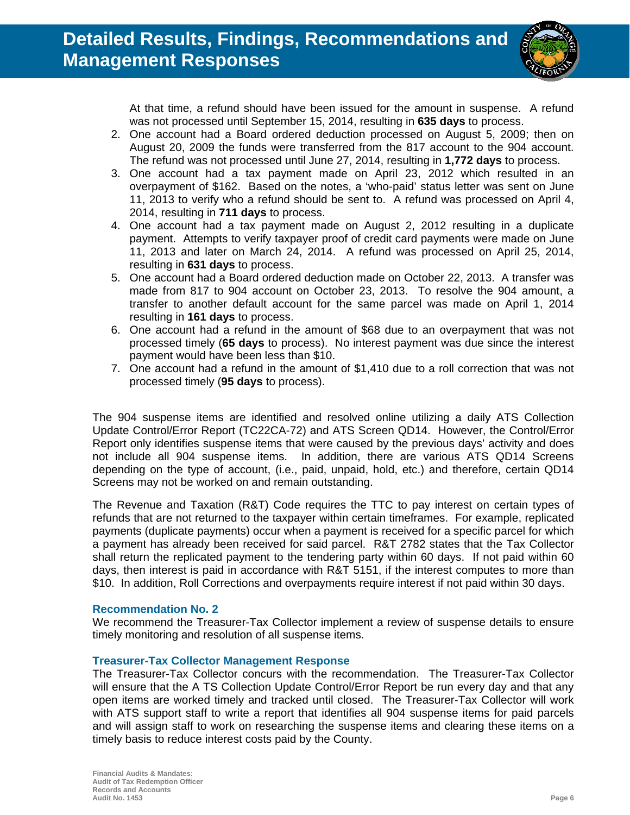

At that time, a refund should have been issued for the amount in suspense. A refund was not processed until September 15, 2014, resulting in **635 days** to process.

- 2. One account had a Board ordered deduction processed on August 5, 2009; then on August 20, 2009 the funds were transferred from the 817 account to the 904 account. The refund was not processed until June 27, 2014, resulting in **1,772 days** to process.
- 3. One account had a tax payment made on April 23, 2012 which resulted in an overpayment of \$162. Based on the notes, a 'who-paid' status letter was sent on June 11, 2013 to verify who a refund should be sent to. A refund was processed on April 4, 2014, resulting in **711 days** to process.
- 4. One account had a tax payment made on August 2, 2012 resulting in a duplicate payment. Attempts to verify taxpayer proof of credit card payments were made on June 11, 2013 and later on March 24, 2014. A refund was processed on April 25, 2014, resulting in **631 days** to process.
- 5. One account had a Board ordered deduction made on October 22, 2013. A transfer was made from 817 to 904 account on October 23, 2013. To resolve the 904 amount, a transfer to another default account for the same parcel was made on April 1, 2014 resulting in **161 days** to process.
- 6. One account had a refund in the amount of \$68 due to an overpayment that was not processed timely (**65 days** to process). No interest payment was due since the interest payment would have been less than \$10.
- 7. One account had a refund in the amount of \$1,410 due to a roll correction that was not processed timely (**95 days** to process).

The 904 suspense items are identified and resolved online utilizing a daily ATS Collection Update Control/Error Report (TC22CA-72) and ATS Screen QD14. However, the Control/Error Report only identifies suspense items that were caused by the previous days' activity and does not include all 904 suspense items. In addition, there are various ATS QD14 Screens depending on the type of account, (i.e., paid, unpaid, hold, etc.) and therefore, certain QD14 Screens may not be worked on and remain outstanding.

The Revenue and Taxation (R&T) Code requires the TTC to pay interest on certain types of refunds that are not returned to the taxpayer within certain timeframes. For example, replicated payments (duplicate payments) occur when a payment is received for a specific parcel for which a payment has already been received for said parcel. R&T 2782 states that the Tax Collector shall return the replicated payment to the tendering party within 60 days. If not paid within 60 days, then interest is paid in accordance with R&T 5151, if the interest computes to more than \$10. In addition, Roll Corrections and overpayments require interest if not paid within 30 days.

# **Recommendation No. 2**

We recommend the Treasurer-Tax Collector implement a review of suspense details to ensure timely monitoring and resolution of all suspense items.

# **Treasurer-Tax Collector Management Response**

The Treasurer-Tax Collector concurs with the recommendation. The Treasurer-Tax Collector will ensure that the A TS Collection Update Control/Error Report be run every day and that any open items are worked timely and tracked until closed. The Treasurer-Tax Collector will work with ATS support staff to write a report that identifies all 904 suspense items for paid parcels and will assign staff to work on researching the suspense items and clearing these items on a timely basis to reduce interest costs paid by the County.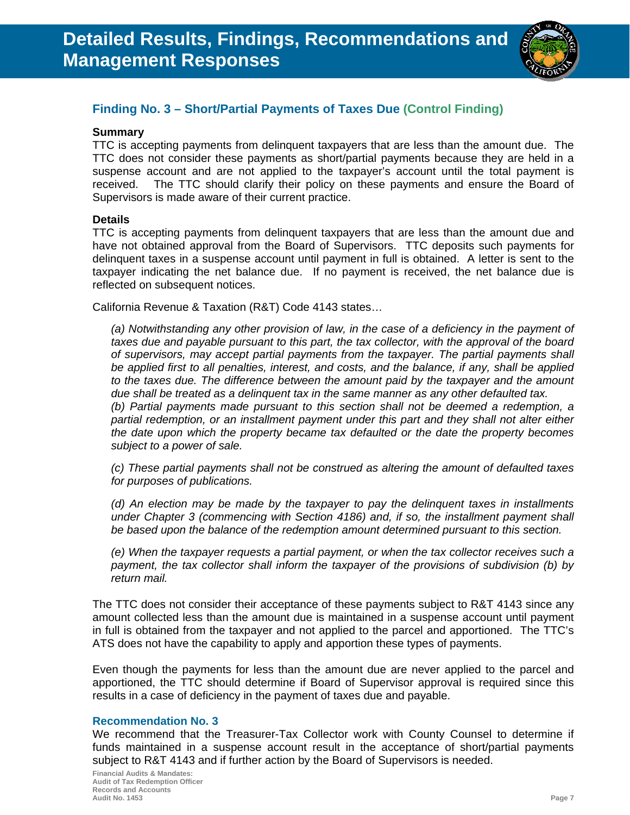

# **Finding No. 3 – Short/Partial Payments of Taxes Due (Control Finding)**

# **Summary**

TTC is accepting payments from delinquent taxpayers that are less than the amount due. The TTC does not consider these payments as short/partial payments because they are held in a suspense account and are not applied to the taxpayer's account until the total payment is received. The TTC should clarify their policy on these payments and ensure the Board of Supervisors is made aware of their current practice.

# **Details**

TTC is accepting payments from delinquent taxpayers that are less than the amount due and have not obtained approval from the Board of Supervisors. TTC deposits such payments for delinquent taxes in a suspense account until payment in full is obtained. A letter is sent to the taxpayer indicating the net balance due. If no payment is received, the net balance due is reflected on subsequent notices.

California Revenue & Taxation (R&T) Code 4143 states…

*(a) Notwithstanding any other provision of law, in the case of a deficiency in the payment of taxes due and payable pursuant to this part, the tax collector, with the approval of the board of supervisors, may accept partial payments from the taxpayer. The partial payments shall*  be applied first to all penalties, interest, and costs, and the balance, if any, shall be applied *to the taxes due. The difference between the amount paid by the taxpayer and the amount due shall be treated as a delinquent tax in the same manner as any other defaulted tax.* 

*(b) Partial payments made pursuant to this section shall not be deemed a redemption, a*  partial redemption, or an installment payment under this part and they shall not alter either *the date upon which the property became tax defaulted or the date the property becomes subject to a power of sale.* 

*(c) These partial payments shall not be construed as altering the amount of defaulted taxes for purposes of publications.* 

*(d) An election may be made by the taxpayer to pay the delinquent taxes in installments under Chapter 3 (commencing with Section 4186) and, if so, the installment payment shall be based upon the balance of the redemption amount determined pursuant to this section.* 

*(e) When the taxpayer requests a partial payment, or when the tax collector receives such a payment, the tax collector shall inform the taxpayer of the provisions of subdivision (b) by return mail.* 

The TTC does not consider their acceptance of these payments subject to R&T 4143 since any amount collected less than the amount due is maintained in a suspense account until payment in full is obtained from the taxpayer and not applied to the parcel and apportioned. The TTC's ATS does not have the capability to apply and apportion these types of payments.

Even though the payments for less than the amount due are never applied to the parcel and apportioned, the TTC should determine if Board of Supervisor approval is required since this results in a case of deficiency in the payment of taxes due and payable.

# **Recommendation No. 3**

We recommend that the Treasurer-Tax Collector work with County Counsel to determine if funds maintained in a suspense account result in the acceptance of short/partial payments subject to R&T 4143 and if further action by the Board of Supervisors is needed.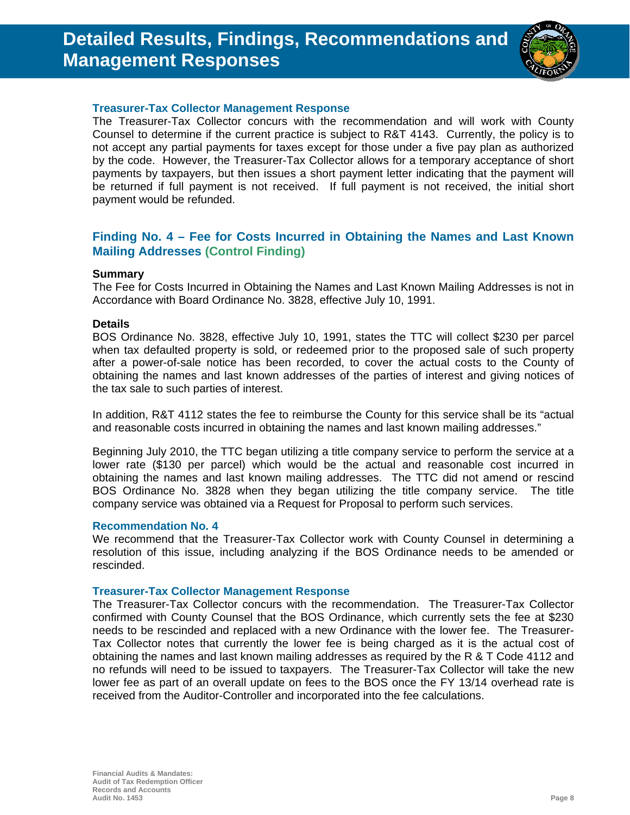# **Detailed Results, Findings, Recommendations and Management Responses**



# **Treasurer-Tax Collector Management Response**

The Treasurer-Tax Collector concurs with the recommendation and will work with County Counsel to determine if the current practice is subject to R&T 4143. Currently, the policy is to not accept any partial payments for taxes except for those under a five pay plan as authorized by the code. However, the Treasurer-Tax Collector allows for a temporary acceptance of short payments by taxpayers, but then issues a short payment letter indicating that the payment will be returned if full payment is not received. If full payment is not received, the initial short payment would be refunded.

# **Finding No. 4 – Fee for Costs Incurred in Obtaining the Names and Last Known Mailing Addresses (Control Finding)**

# **Summary**

The Fee for Costs Incurred in Obtaining the Names and Last Known Mailing Addresses is not in Accordance with Board Ordinance No. 3828, effective July 10, 1991.

# **Details**

BOS Ordinance No. 3828, effective July 10, 1991, states the TTC will collect \$230 per parcel when tax defaulted property is sold, or redeemed prior to the proposed sale of such property after a power-of-sale notice has been recorded, to cover the actual costs to the County of obtaining the names and last known addresses of the parties of interest and giving notices of the tax sale to such parties of interest.

In addition, R&T 4112 states the fee to reimburse the County for this service shall be its "actual and reasonable costs incurred in obtaining the names and last known mailing addresses."

Beginning July 2010, the TTC began utilizing a title company service to perform the service at a lower rate (\$130 per parcel) which would be the actual and reasonable cost incurred in obtaining the names and last known mailing addresses. The TTC did not amend or rescind BOS Ordinance No. 3828 when they began utilizing the title company service. The title company service was obtained via a Request for Proposal to perform such services.

# **Recommendation No. 4**

We recommend that the Treasurer-Tax Collector work with County Counsel in determining a resolution of this issue, including analyzing if the BOS Ordinance needs to be amended or rescinded.

# **Treasurer-Tax Collector Management Response**

The Treasurer-Tax Collector concurs with the recommendation. The Treasurer-Tax Collector confirmed with County Counsel that the BOS Ordinance, which currently sets the fee at \$230 needs to be rescinded and replaced with a new Ordinance with the lower fee. The Treasurer-Tax Collector notes that currently the lower fee is being charged as it is the actual cost of obtaining the names and last known mailing addresses as required by the R & T Code 4112 and no refunds will need to be issued to taxpayers. The Treasurer-Tax Collector will take the new lower fee as part of an overall update on fees to the BOS once the FY 13/14 overhead rate is received from the Auditor-Controller and incorporated into the fee calculations.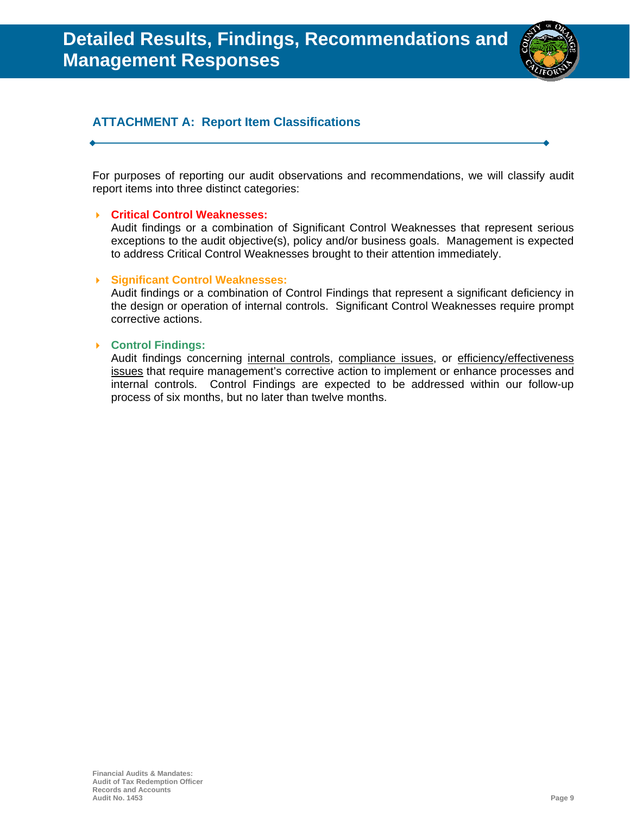

# **ATTACHMENT A: Report Item Classifications**

For purposes of reporting our audit observations and recommendations, we will classify audit report items into three distinct categories:

# **Critical Control Weaknesses:**

Audit findings or a combination of Significant Control Weaknesses that represent serious exceptions to the audit objective(s), policy and/or business goals. Management is expected to address Critical Control Weaknesses brought to their attention immediately.

# **Significant Control Weaknesses:**

Audit findings or a combination of Control Findings that represent a significant deficiency in the design or operation of internal controls. Significant Control Weaknesses require prompt corrective actions.

# **Control Findings:**

Audit findings concerning internal controls, compliance issues, or efficiency/effectiveness issues that require management's corrective action to implement or enhance processes and internal controls. Control Findings are expected to be addressed within our follow-up process of six months, but no later than twelve months.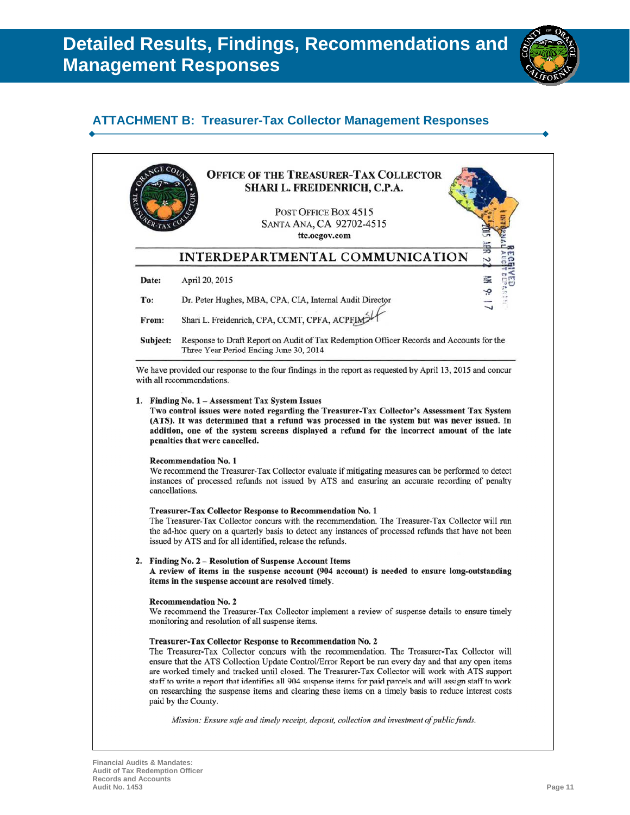

# **ATTACHMENT B: Treasurer-Tax Collector Management Responses**

|          | <b>OFFICE OF THE TREASURER-TAX COLLECTOR</b><br>SHARI L. FREIDENRICH, C.P.A.                                                                                                                                                                                                                                                                                                                                                                                                                      |
|----------|---------------------------------------------------------------------------------------------------------------------------------------------------------------------------------------------------------------------------------------------------------------------------------------------------------------------------------------------------------------------------------------------------------------------------------------------------------------------------------------------------|
|          | POST OFFICE BOX 4515<br>SANTA ANA, CA 92702-4515<br>ttc.ocgov.com                                                                                                                                                                                                                                                                                                                                                                                                                                 |
|          | INTERDEPARTMENTAL COMMUNICATION<br>Ν                                                                                                                                                                                                                                                                                                                                                                                                                                                              |
| Date:    | 臺<br>April 20, 2015                                                                                                                                                                                                                                                                                                                                                                                                                                                                               |
| To:      | Dr. Peter Hughes, MBA, CPA, CIA, Internal Audit Director                                                                                                                                                                                                                                                                                                                                                                                                                                          |
| From:    | Shari L. Freidenrich, CPA, CCMT, CPFA, ACPFIM                                                                                                                                                                                                                                                                                                                                                                                                                                                     |
| Subject: | Response to Draft Report on Audit of Tax Redemption Officer Records and Accounts for the<br>Three Year Period Ending June 30, 2014                                                                                                                                                                                                                                                                                                                                                                |
|          | We have provided our response to the four findings in the report as requested by April 13, 2015 and concur<br>with all recommendations.                                                                                                                                                                                                                                                                                                                                                           |
|          | Two control issues were noted regarding the Treasurer-Tax Collector's Assessment Tax System<br>(ATS). It was determined that a refund was processed in the system but was never issued. In<br>addition, one of the system screens displayed a refund for the incorrect amount of the late<br>penalties that were cancelled.<br><b>Recommendation No. 1</b>                                                                                                                                        |
|          | We recommend the Treasurer-Tax Collector evaluate if mitigating measures can be performed to detect<br>instances of processed refunds not issued by ATS and ensuring an accurate recording of penalty<br>cancellations.<br><b>Treasurer-Tax Collector Response to Recommendation No. 1</b>                                                                                                                                                                                                        |
|          | issued by ATS and for all identified, release the refunds.                                                                                                                                                                                                                                                                                                                                                                                                                                        |
|          | 2. Finding No. 2 - Resolution of Suspense Account Items<br>items in the suspense account are resolved timely.                                                                                                                                                                                                                                                                                                                                                                                     |
|          | The Treasurer-Tax Collector concurs with the recommendation. The Treasurer-Tax Collector will run<br>the ad-hoc query on a quarterly basis to detect any instances of processed refunds that have not been<br>A review of items in the suspense account (904 account) is needed to ensure long-outstanding<br><b>Recommendation No. 2</b><br>We recommend the Treasurer-Tax Collector implement a review of suspense details to ensure timely<br>monitoring and resolution of all suspense items. |